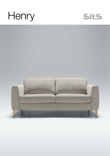## Henry



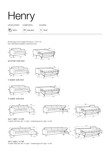| <b>UPHOLSTERY</b> | <b>COMFORTS</b>        | <b>COVERS</b> |
|-------------------|------------------------|---------------|
| fabric            | standard<br><b>STD</b> | fixed<br>FC   |

All drawings shown height with leg no. 141A H-15. Two mattresses available: bonell and foam.





armchair sofa bed





3 seater sofa bed





4 seater sofa bed







set 1 right / or left 3 seater sofa bed left / or right + chaiselongue box right / or left



set 2 right / or left 4 seater sofa bed left / or right + chaiselongue box right / or left